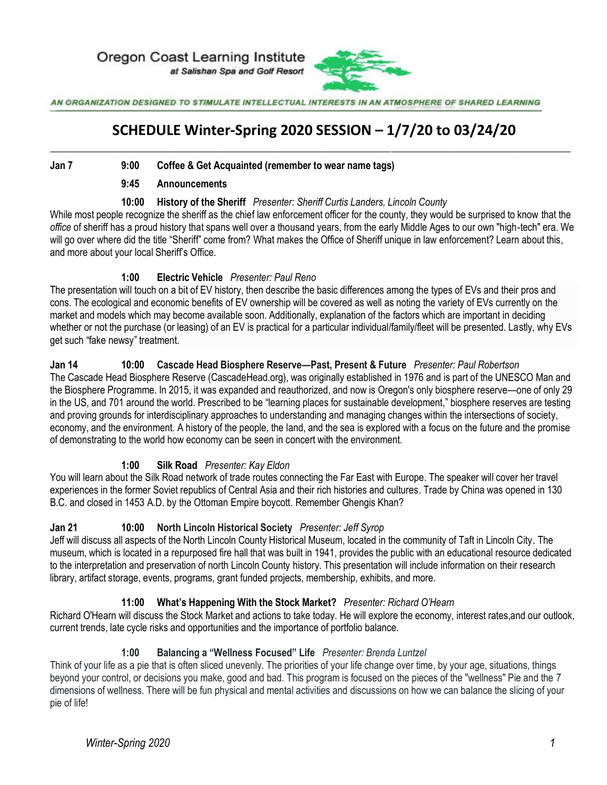Oregon Coast Learning Institute at Salishan Spa and Golf Resort



AN ORGANIZATION DESIGNED TO STIMULATE INTELLECTUAL INTERESTS IN AN ATMOSPHERE OF SHARED LEARNING

# **SCHEDULE Winter-Spring 2020 SESSION – 1/7/20 to 03/24/20**  $\_$  , and the set of the set of the set of the set of the set of the set of the set of the set of the set of the set of the set of the set of the set of the set of the set of the set of the set of the set of the set of th

#### **Jan 7 9:00 Coffee & Get Acquainted (remember to wear name tags)**

#### **9:45 Announcements**

#### **10:00 History of the Sheriff** *Presenter: Sheriff Curtis Landers, Lincoln County*

While most people recognize the sheriff as the chief law enforcement officer for the county, they would be surprised to know that the *office* of sheriff has a proud history that spans well over a thousand years, from the early Middle Ages to our own "high-tech" era. We will go over where did the title "Sheriff" come from? What makes the Office of Sheriff unique in law enforcement? Learn about this, and more about your local Sheriff's Office.

#### **1:00 Electric Vehicle** *Presenter: Paul Reno*

The presentation will touch on a bit of EV history, then describe the basic differences among the types of EVs and their pros and cons. The ecological and economic benefits of EV ownership will be covered as well as noting the variety of EVs currently on the market and models which may become available soon. Additionally, explanation of the factors which are important in deciding whether or not the purchase (or leasing) of an EV is practical for a particular individual/family/fleet will be presented. Lastly, why EVs get such "fake newsy" treatment.

#### **Jan 14 10:00 Cascade Head Biosphere Reserve—Past, Present & Future** *Presenter: Paul Robertson*

The Cascade Head Biosphere Reserve (CascadeHead.org), was originally established in 1976 and is part of the UNESCO Man and the Biosphere Programme. In 2015, it was expanded and reauthorized, and now is Oregon's only biosphere reserve—one of only 29 in the US, and 701 around the world. Prescribed to be "learning places for sustainable development," biosphere reserves are testing and proving grounds for interdisciplinary approaches to understanding and managing changes within the intersections of society, economy, and the environment. A history of the people, the land, and the sea is explored with a focus on the future and the promise of demonstrating to the world how economy can be seen in concert with the environment.

#### **1:00 Silk Road** *Presenter: Kay Eldon*

You will learn about the Silk Road network of trade routes connecting the Far East with Europe. The speaker will cover her travel experiences in the former Soviet republics of Central Asia and their rich histories and cultures. Trade by China was opened in 130 B.C. and closed in 1453 A.D. by the Ottoman Empire boycott. Remember Ghengis Khan?

#### **Jan 21 10:00 North Lincoln Historical Society** *Presenter: Jeff Syrop*

Jeff will discuss all aspects of the North Lincoln County Historical Museum, located in the community of Taft in Lincoln City. The museum, which is located in a repurposed fire hall that was built in 1941, provides the public with an educational resource dedicated to the interpretation and preservation of north Lincoln County history. This presentation will include information on their research library, artifact storage, events, programs, grant funded projects, membership, exhibits, and more.

#### **11:00 What's Happening With the Stock Market?** *Presenter: Richard O'Hearn*

Richard O'Hearn will discuss the Stock Market and actions to take today. He will explore the economy, interest rates,and our outlook, current trends, late cycle risks and opportunities and the importance of portfolio balance.

#### **1:00 Balancing a "Wellness Focused" Life** *Presenter: Brenda Luntzel*

Think of your life as a pie that is often sliced unevenly. The priorities of your life change over time, by your age, situations, things beyond your control, or decisions you make, good and bad. This program is focused on the pieces of the "wellness" Pie and the 7 dimensions of wellness. There will be fun physical and mental activities and discussions on how we can balance the slicing of your pie of life!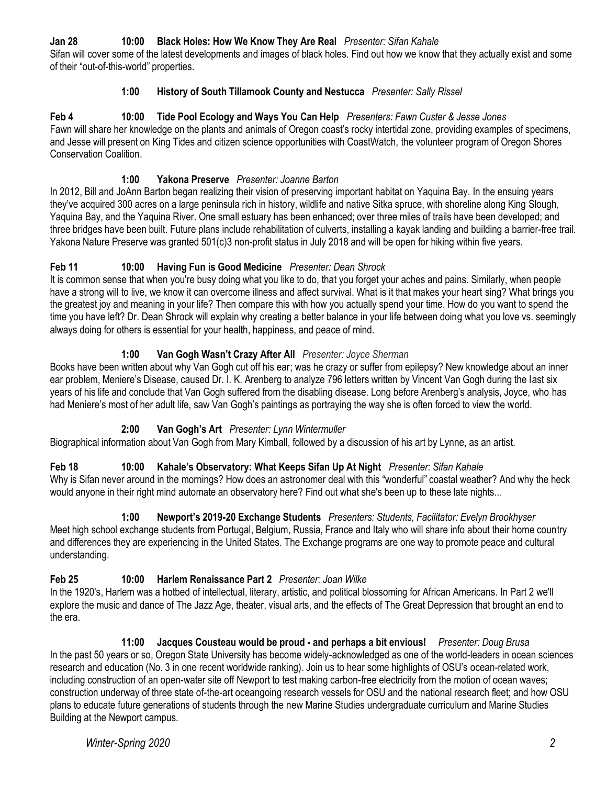# **Jan 28 10:00 Black Holes: How We Know They Are Real** *Presenter: Sifan Kahale*

Sifan will cover some of the latest developments and images of black holes. Find out how we know that they actually exist and some of their "out-of-this-world" properties.

### **1:00 History of South Tillamook County and Nestucca** *Presenter: Sally Rissel*

**Feb 4 10:00 Tide Pool Ecology and Ways You Can Help** *Presenters: Fawn Custer & Jesse Jones* Fawn will share her knowledge on the plants and animals of Oregon coast's rocky intertidal zone, providing examples of specimens, and Jesse will present on King Tides and citizen science opportunities with CoastWatch, the volunteer program of Oregon Shores Conservation Coalition.

### **1:00 Yakona Preserve** *Presenter: Joanne Barton*

In 2012, Bill and JoAnn Barton began realizing their vision of preserving important habitat on Yaquina Bay. In the ensuing years they've acquired 300 acres on a large peninsula rich in history, wildlife and native Sitka spruce, with shoreline along King Slough, Yaquina Bay, and the Yaquina River. One small estuary has been enhanced; over three miles of trails have been developed; and three bridges have been built. Future plans include rehabilitation of culverts, installing a kayak landing and building a barrier-free trail. Yakona Nature Preserve was granted 501(c)3 non-profit status in July 2018 and will be open for hiking within five years.

# **Feb 11 10:00 Having Fun is Good Medicine** *Presenter: Dean Shrock*

It is common sense that when you're busy doing what you like to do, that you forget your aches and pains. Similarly, when people have a strong will to live, we know it can overcome illness and affect survival. What is it that makes your heart sing? What brings you the greatest joy and meaning in your life? Then compare this with how you actually spend your time. How do you want to spend the time you have left? Dr. Dean Shrock will explain why creating a better balance in your life between doing what you love vs. seemingly always doing for others is essential for your health, happiness, and peace of mind.

### **1:00 Van Gogh Wasn't Crazy After All** *Presenter: Joyce Sherman*

Books have been written about why Van Gogh cut off his ear; was he crazy or suffer from epilepsy? New knowledge about an inner ear problem, Meniere's Disease, caused Dr. I. K. Arenberg to analyze 796 letters written by Vincent Van Gogh during the last six years of his life and conclude that Van Gogh suffered from the disabling disease. Long before Arenberg's analysis, Joyce, who has had Meniere's most of her adult life, saw Van Gogh's paintings as portraying the way she is often forced to view the world.

# **2:00 Van Gogh's Art** *Presenter: Lynn Wintermuller*

Biographical information about Van Gogh from Mary Kimball, followed by a discussion of his art by Lynne, as an artist.

# **Feb 18 10:00 Kahale's Observatory: What Keeps Sifan Up At Night** *Presenter: Sifan Kahale*

Why is Sifan never around in the mornings? How does an astronomer deal with this "wonderful" coastal weather? And why the heck would anyone in their right mind automate an observatory here? Find out what she's been up to these late nights...

# **1:00 Newport's 2019-20 Exchange Students** *Presenters: Students, Facilitator: Evelyn Brookhyser*

Meet high school exchange students from Portugal, Belgium, Russia, France and Italy who will share info about their home country and differences they are experiencing in the United States. The Exchange programs are one way to promote peace and cultural understanding.

# **Feb 25 10:00 Harlem Renaissance Part 2** *Presenter: Joan Wilke*

In the 1920's, Harlem was a hotbed of intellectual, literary, artistic, and political blossoming for African Americans. In Part 2 we'll explore the music and dance of The Jazz Age, theater, visual arts, and the effects of The Great Depression that brought an end to the era.

#### **11:00 Jacques Cousteau would be proud - and perhaps a bit envious!** *Presenter: Doug Brusa*

In the past 50 years or so, Oregon State University has become widely-acknowledged as one of the world-leaders in ocean sciences research and education (No. 3 in one recent worldwide ranking). Join us to hear some highlights of OSU's ocean-related work, including construction of an open-water site off Newport to test making carbon-free electricity from the motion of ocean waves; construction underway of three state of-the-art oceangoing research vessels for OSU and the national research fleet; and how OSU plans to educate future generations of students through the new Marine Studies undergraduate curriculum and Marine Studies Building at the Newport campus.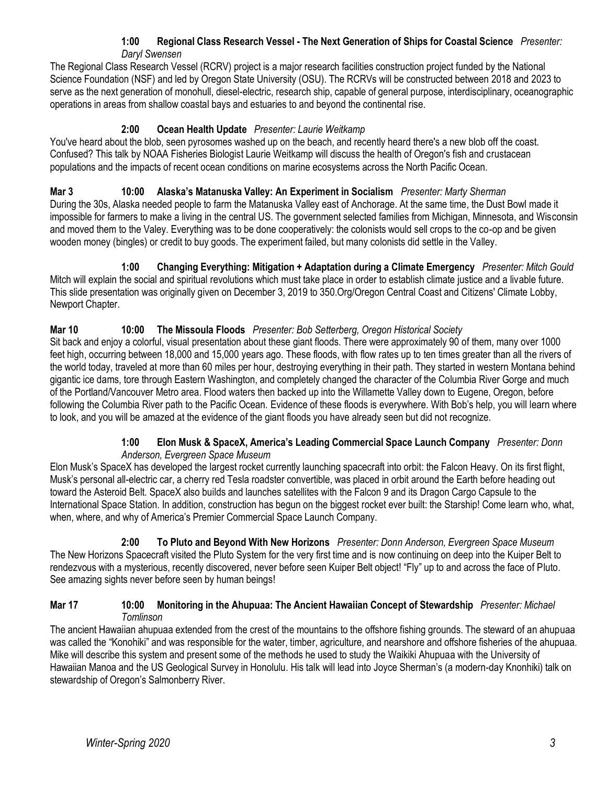#### **1:00 Regional Class Research Vessel - The Next Generation of Ships for Coastal Science** *Presenter: Daryl Swensen*

The Regional Class Research Vessel (RCRV) project is a major research facilities construction project funded by the National Science Foundation (NSF) and led by Oregon State University (OSU). The RCRVs will be constructed between 2018 and 2023 to serve as the next generation of monohull, diesel-electric, research ship, capable of general purpose, interdisciplinary, oceanographic operations in areas from shallow coastal bays and estuaries to and beyond the continental rise.

# **2:00 Ocean Health Update** *Presenter: Laurie Weitkamp*

You've heard about the blob, seen pyrosomes washed up on the beach, and recently heard there's a new blob off the coast. Confused? This talk by NOAA Fisheries Biologist Laurie Weitkamp will discuss the health of Oregon's fish and crustacean populations and the impacts of recent ocean conditions on marine ecosystems across the North Pacific Ocean.

### **Mar 3 10:00 Alaska's Matanuska Valley: An Experiment in Socialism** *Presenter: Marty Sherman*

During the 30s, Alaska needed people to farm the Matanuska Valley east of Anchorage. At the same time, the Dust Bowl made it impossible for farmers to make a living in the central US. The government selected families from Michigan, Minnesota, and Wisconsin and moved them to the Valey. Everything was to be done cooperatively: the colonists would sell crops to the co-op and be given wooden money (bingles) or credit to buy goods. The experiment failed, but many colonists did settle in the Valley.

**1:00 Changing Everything: Mitigation + Adaptation during a Climate Emergency** *Presenter: Mitch Gould* Mitch will explain the social and spiritual revolutions which must take place in order to establish climate justice and a livable future. This slide presentation was originally given on December 3, 2019 to 350.Org/Oregon Central Coast and Citizens' Climate Lobby, Newport Chapter.

# **Mar 10 10:00 The Missoula Floods** *Presenter: Bob Setterberg, Oregon Historical Society*

Sit back and enjoy a colorful, visual presentation about these giant floods. There were approximately 90 of them, many over 1000 feet high, occurring between 18,000 and 15,000 years ago. These floods, with flow rates up to ten times greater than all the rivers of the world today, traveled at more than 60 miles per hour, destroying everything in their path. They started in western Montana behind gigantic ice dams, tore through Eastern Washington, and completely changed the character of the Columbia River Gorge and much of the Portland/Vancouver Metro area. Flood waters then backed up into the Willamette Valley down to Eugene, Oregon, before following the Columbia River path to the Pacific Ocean. Evidence of these floods is everywhere. With Bob's help, you will learn where to look, and you will be amazed at the evidence of the giant floods you have already seen but did not recognize.

#### **1:00 Elon Musk & SpaceX, America's Leading Commercial Space Launch Company** *Presenter: Donn Anderson, Evergreen Space Museum*

Elon Musk's SpaceX has developed the largest rocket currently launching spacecraft into orbit: the Falcon Heavy. On its first flight, Musk's personal all-electric car, a cherry red Tesla roadster convertible, was placed in orbit around the Earth before heading out toward the Asteroid Belt. SpaceX also builds and launches satellites with the Falcon 9 and its Dragon Cargo Capsule to the International Space Station. In addition, construction has begun on the biggest rocket ever built: the Starship! Come learn who, what, when, where, and why of America's Premier Commercial Space Launch Company.

**2:00 To Pluto and Beyond With New Horizons** *Presenter: Donn Anderson, Evergreen Space Museum* The New Horizons Spacecraft visited the Pluto System for the very first time and is now continuing on deep into the Kuiper Belt to rendezvous with a mysterious, recently discovered, never before seen Kuiper Belt object! "Fly" up to and across the face of Pluto. See amazing sights never before seen by human beings!

#### **Mar 17 10:00 Monitoring in the Ahupuaa: The Ancient Hawaiian Concept of Stewardship** *Presenter: Michael Tomlinson*

The ancient Hawaiian ahupuaa extended from the crest of the mountains to the offshore fishing grounds. The steward of an ahupuaa was called the "Konohiki" and was responsible for the water, timber, agriculture, and nearshore and offshore fisheries of the ahupuaa. Mike will describe this system and present some of the methods he used to study the Waikiki Ahupuaa with the University of Hawaiian Manoa and the US Geological Survey in Honolulu. His talk will lead into Joyce Sherman's (a modern-day Knonhiki) talk on stewardship of Oregon's Salmonberry River.